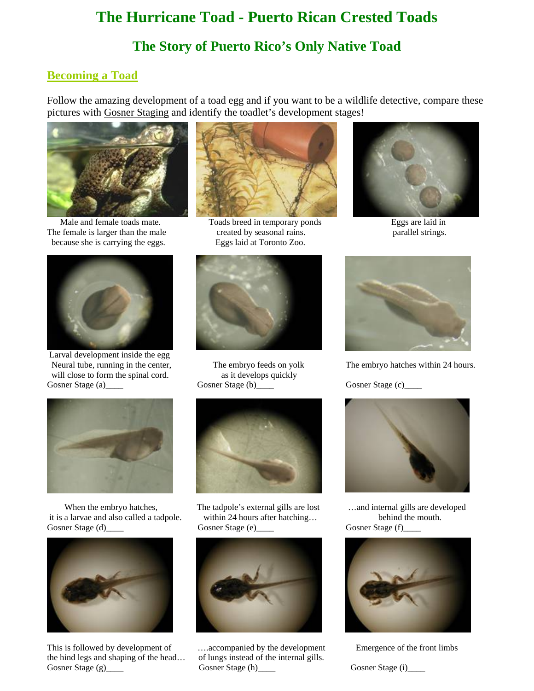# **The Hurricane Toad - Puerto Rican Crested Toads**

## **The Story of Puerto Rico's Only Native Toad**

## **Becoming a Toad**

Follow the amazing development of a toad egg and if you want to be a wildlife detective, compare these pictures with Gosner Staging and identify the toadlet's development stages!



Male and female toads mate. Toads breed in temporary ponds The female is larger than the male because she is carrying the eggs. Eggs laid at Toronto Zoo.



 Larval development inside the egg Neural tube, running in the center, will close to form the spinal cord. as it develops quickly Gosner Stage (a)\_\_\_\_ Gosner Stage (b)\_\_\_\_ Gosner Stage (c)\_\_\_ Gosner Stage (c)\_\_\_



 it is a larvae and also called a tadpole. within 24 hours after hatching… behind the mouth. Gosner Stage (d) Gosner Stage (e) Gosner Stage (f)



This is followed by development of **Emergence** of the front limbs the hind legs and shaping of the head… of lungs instead of the internal gills. Gosner Stage (g)\_\_\_\_ Gosner Stage (h)\_\_\_\_ Gosner Stage (i)\_\_\_\_ Gosner Stage (i)\_\_\_\_



created by seasonal rains. parallel strings.





When the embryo hatches, The tadpole's external gills are lost and internal gills are developed





Eggs are laid in



The embryo feeds on yolk The embryo hatches within 24 hours.



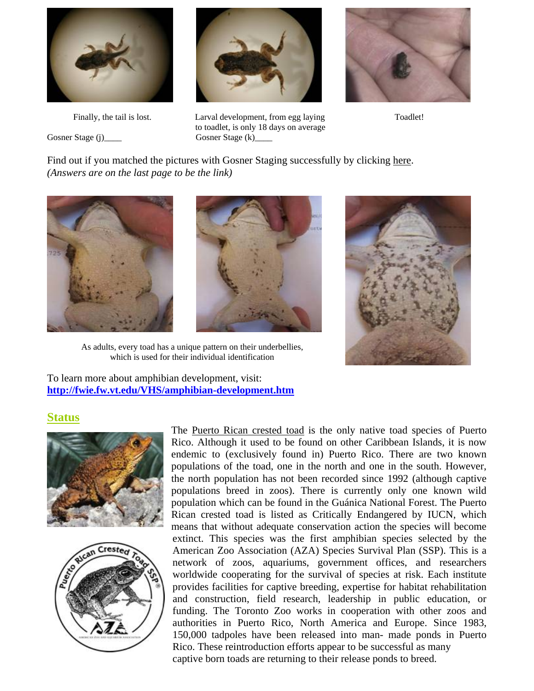

Gosner Stage (j)\_\_\_\_ Gosner Stage (k)\_



Finally, the tail is lost. Larval development, from egg laying Toadlet! to toadlet, is only 18 days on average



Find out if you matched the pictures with Gosner Staging successfully by clicking here. *(Answers are on the last page to be the link)* 





As adults, every toad has a unique pattern on their underbellies, which is used for their individual identification

To learn more about amphibian development, visit: **<http://fwie.fw.vt.edu/VHS/amphibian-development.htm>**

#### **Status**





The Puerto Rican crested toad is the only native toad species of Puerto Rico. Although it used to be found on other Caribbean Islands, it is now endemic to (exclusively found in) Puerto Rico. There are two known populations of the toad, one in the north and one in the south. However, the north population has not been recorded since 1992 (although captive populations breed in zoos). There is currently only one known wild population which can be found in the Guánica National Forest. The Puerto Rican crested toad is listed as Critically Endangered by IUCN, which means that without adequate conservation action the species will become extinct. This species was the first amphibian species selected by the American Zoo Association (AZA) Species Survival Plan (SSP). This is a network of zoos, aquariums, government offices, and researchers worldwide cooperating for the survival of species at risk. Each institute provides facilities for captive breeding, expertise for habitat rehabilitation and construction, field research, leadership in public education, or funding. The Toronto Zoo works in cooperation with other zoos and authorities in Puerto Rico, North America and Europe. Since 1983, 150,000 tadpoles have been released into man- made ponds in Puerto Rico. These reintroduction efforts appear to be successful as many captive born toads are returning to their release ponds to breed.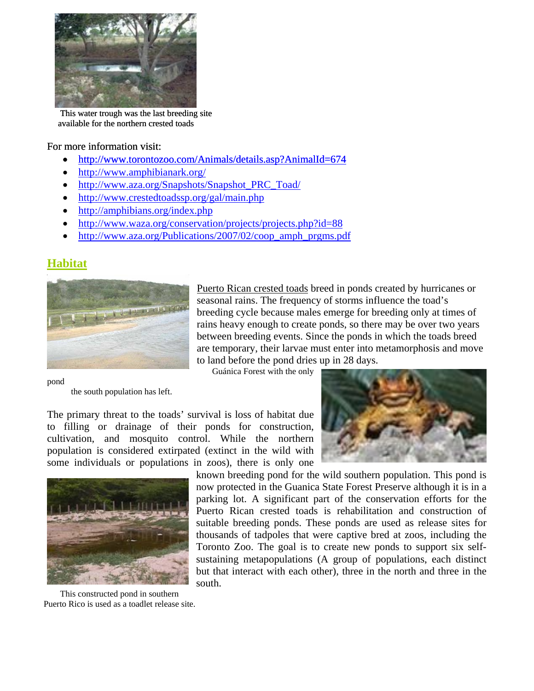

 This water trough was the last breeding site available for the northern crested toads

#### For more information visit:

- <http://www.torontozoo.com/Animals/details.asp?AnimalId=674>
- <http://www.amphibianark.org/>
- [http://www.aza.org/Snapshots/Snapshot\\_PRC\\_Toad/](http://www.aza.org/Snapshots/Snapshot_PRC_Toad/)
- <http://www.crestedtoadssp.org/gal/main.php>
- <http://amphibians.org/index.php>
- <http://www.waza.org/conservation/projects/projects.php?id=88>
- [http://www.aza.org/Publications/2007/02/coop\\_amph\\_prgms.pdf](http://www.aza.org/Publications/2007/02/coop_amph_prgms.pdf)

## **Habitat**



Puerto Rican crested toads breed in ponds created by hurricanes or seasonal rains. The frequency of storms influence the toad's breeding cycle because males emerge for breeding only at times of rains heavy enough to create ponds, so there may be over two years between breeding events. Since the ponds in which the toads b reed are temporary, their larvae must enter into metamorphosis and move to land before the pond dries up in 28 days . Guánica Forest with the only

pond

the south population has left.

The primary threat to the toads' survival is loss of habitat due to filling or drainage of their ponds for construction, cultivation, and mosquito control. While the northern population is considered extirpated (extinct in the wild with some individuals or populations in zoos), there is only one



Puerto Rico is used as a toadlet release site.



known breeding pond for the wild southern population. This pond is now protected in the Guanica State Forest Preserve although it is in a parking lot. A significant part of the conservation efforts for the Puerto Rican crested toads is rehabilitation and construction of suitable breeding ponds. These ponds are used as release sites for thousands of tadpoles that were captive bred at zoos, including the Toronto Zoo. The goal is to create new ponds to support six selfsustaining metapopulations (A group of populations, each distinct but that interact with each other), three in the north and three in the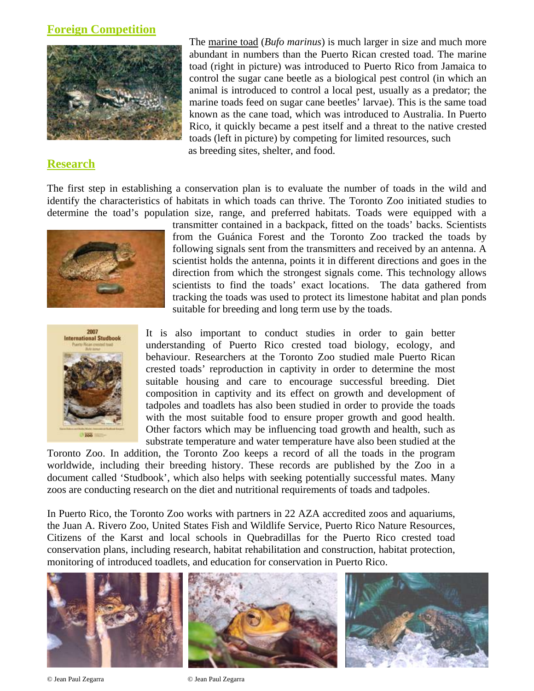#### **Foreign Competition**



### **Research**

The marine toad (*Bufo marinus*) is much larger in size and much more abundant in numbers than the Puerto Rican crested toad. The marine toad (right in picture) was introduced to Puerto Rico from Jamaica to control the sugar cane beetle as a biological pest control (in which an animal is introduced to control a local pest, usually as a predator; the marine toads feed on sugar cane beetles' larvae). This is the same toad known as the cane toad, which was introduced to Australia. In Puerto Rico, it quickly became a pest itself and a threat to the native crested toads (left in picture) by competing for limited resources, such as breeding sites, shelter, and food.

determine the toad's population size, range, and preferred habitats. Toads were equipped with a The first step in establishing a conservation plan is to evaluate the number of toads in the wild and identify the characteristics of habitats in which toads can thrive. The Toronto Zoo initiated studies to



tracking the toads was used to protect its limestone habitat and plan ponds suitable for breeding and long term use by the toads. transmitter contained in a backpack, fitted on the toads' backs. Scientists from the Guánica Forest and the Toronto Zoo tracked the toads by following signals sent from the transmitters and received by an antenna. A scientist holds the antenna, points it in different directions and goes in the direction from which the strongest signals come. This technology allows scientists to find the toads' exact locations. The data gathered from



It is also important to conduct studies in order to gain better understanding of Puerto Rico crested toad biology, ecology, and behaviour. Researchers at the Toronto Zoo studied male Puerto Rican crested toads' reproduction in captivity in order to determine the most suitable housing and care to encourage successful breeding. Diet composition in captivity and its effect on growth and development of tadpoles and toadlets has also been studied in order to provide the toads with the most suitable food to ensure proper growth and good health. Other factors which may be influencing toad growth and health, such as substrate temperature and water temperature have also been studied at the

document called 'Studbook', which also helps with seeking potentially successful mates. Many zoos are conducting research on the diet and nutritional requirements of toads and tadpoles. Toronto Zoo. In addition, the Toronto Zoo keeps a record of all the toads in the program worldwide, including their breeding history. These records are published by the Zoo in a

conservation plans, including research, habitat rehabilitation and construction, habitat protection, In Puerto Rico, the Toronto Zoo works with partners in 22 AZA accredited zoos and aquariums, the Juan A. Rivero Zoo, United States Fish and Wildlife Service, Puerto Rico Nature Resources, Citizens of the Karst and local schools in Quebradillas for the Puerto Rico crested toad monitoring of introduced toadlets, and education for conservation in Puerto Rico.



© Jean Paul Zegarra © Jean Paul Zegarra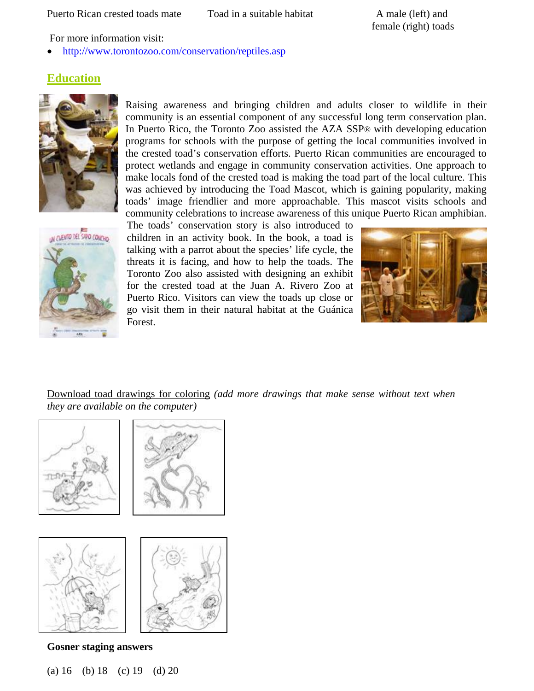female (right) toads A male (left) and

For more information visit:

http://www.torontozoo.com/conservation/reptiles.asp •

## **Education**



community celebrations to increase awareness of this unique Puerto Rican amphibian. Raising awareness and bringing children and adults closer to wildlife in their community is an essential component of any successful long term conservation plan. In Puerto Rico, the Toronto Zoo assisted the AZA SSP® with developing education programs for schools with the purpose of getting the local communities involved in the crested toad's conservation efforts. Puerto Rican communities are encouraged to protect wetlands and engage in community conservation activities. One approach to make locals fond of the crested toad is making the toad part of the local culture. This was achieved by introducing the Toad Mascot, which is gaining popularity, making toads' image friendlier and more approachable. This mascot visits schools and



go visit them in their natural habitat at the Guánica The toads' conservation story is also introduced to children in an activity book. In the book, a toad is talking with a parrot about the species' life cycle, the threats it is facing, and how to help the toads. The Toronto Zoo also assisted with designing an exhibit for the crested toad at the Juan A. Rivero Zoo at Puerto Rico. Visitors can view the toads up close or Forest.



Download toad drawings for coloring (add more drawings that make sense without text when *they are available on the computer)*



Gosner staging answers

(a) 16 (b) 18 (c) 19 (d) 20